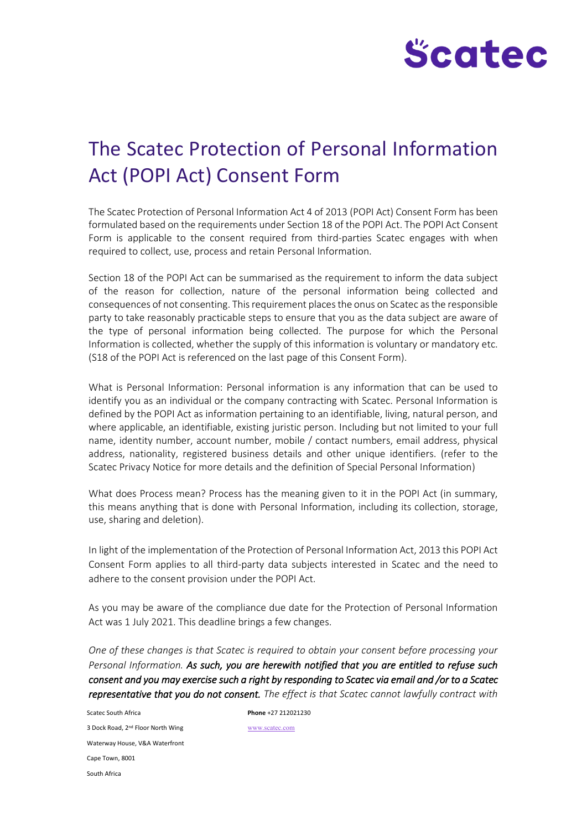

# The Scatec Protection of Personal Information Act (POPI Act) Consent Form

The Scatec Protection of Personal Information Act 4 of 2013 (POPI Act) Consent Form has been formulated based on the requirements under Section 18 of the POPI Act. The POPI Act Consent Form is applicable to the consent required from third-parties Scatec engages with when required to collect, use, process and retain Personal Information.

Section 18 of the POPI Act can be summarised as the requirement to inform the data subject of the reason for collection, nature of the personal information being collected and consequences of not consenting. This requirement places the onus on Scatec as the responsible party to take reasonably practicable steps to ensure that you as the data subject are aware of the type of personal information being collected. The purpose for which the Personal Information is collected, whether the supply of this information is voluntary or mandatory etc. (S18 of the POPI Act is referenced on the last page of this Consent Form).

What is Personal Information: Personal information is any information that can be used to identify you as an individual or the company contracting with Scatec. Personal Information is defined by the POPI Act as information pertaining to an identifiable, living, natural person, and where applicable, an identifiable, existing juristic person. Including but not limited to your full name, identity number, account number, mobile / contact numbers, email address, physical address, nationality, registered business details and other unique identifiers. (refer to the Scatec Privacy Notice for more details and the definition of Special Personal Information)

What does Process mean? Process has the meaning given to it in the POPI Act (in summary, this means anything that is done with Personal Information, including its collection, storage, use, sharing and deletion).

In light of the implementation of the Protection of Personal Information Act, 2013 this POPI Act Consent Form applies to all third-party data subjects interested in Scatec and the need to adhere to the consent provision under the POPI Act.

As you may be aware of the compliance due date for the Protection of Personal Information Act was 1 July 2021. This deadline brings a few changes.

*One of these changes is that Scatec is required to obtain your consent before processing your Personal Information. As such, you are herewith notified that you are entitled to refuse such consent and you may exercise such a right by responding to Scatec via email and /or to a Scatec representative that you do not consent. The effect is that Scatec cannot lawfully contract with*

Scatec South Africa **Phone** +27 212021230 3 Dock Road, 2nd Floor North Wing Waterway House, V&A Waterfront Cape Town, 8001 South Africa

[www.scatec.com](http://www.scatec.com/)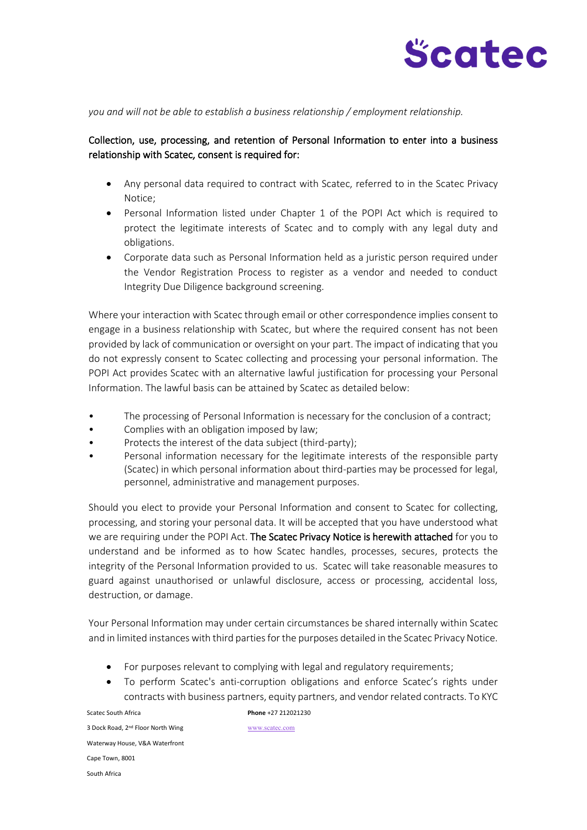

*you and will not be able to establish a business relationship / employment relationship.* 

### Collection, use, processing, and retention of Personal Information to enter into a business relationship with Scatec, consent is required for:

- Any personal data required to contract with Scatec, referred to in the Scatec Privacy Notice;
- Personal Information listed under Chapter 1 of the POPI Act which is required to protect the legitimate interests of Scatec and to comply with any legal duty and obligations.
- Corporate data such as Personal Information held as a juristic person required under the Vendor Registration Process to register as a vendor and needed to conduct Integrity Due Diligence background screening.

Where your interaction with Scatec through email or other correspondence implies consent to engage in a business relationship with Scatec, but where the required consent has not been provided by lack of communication or oversight on your part. The impact of indicating that you do not expressly consent to Scatec collecting and processing your personal information. The POPI Act provides Scatec with an alternative lawful justification for processing your Personal Information. The lawful basis can be attained by Scatec as detailed below:

- The processing of Personal Information is necessary for the conclusion of a contract;
- Complies with an obligation imposed by law;
- Protects the interest of the data subject (third-party);
- Personal information necessary for the legitimate interests of the responsible party (Scatec) in which personal information about third-parties may be processed for legal, personnel, administrative and management purposes.

Should you elect to provide your Personal Information and consent to Scatec for collecting, processing, and storing your personal data. It will be accepted that you have understood what we are requiring under the POPI Act. The Scatec Privacy Notice is herewith attached for you to understand and be informed as to how Scatec handles, processes, secures, protects the integrity of the Personal Information provided to us. Scatec will take reasonable measures to guard against unauthorised or unlawful disclosure, access or processing, accidental loss, destruction, or damage.

Your Personal Information may under certain circumstances be shared internally within Scatec and in limited instances with third parties for the purposes detailed in the Scatec Privacy Notice.

- For purposes relevant to complying with legal and regulatory requirements;
- To perform Scatec's anti-corruption obligations and enforce Scatec's rights under contracts with business partners, equity partners, and vendor related contracts. To KYC

Scatec South Africa **Phone** +27 212021230 3 Dock Road, 2nd Floor North Wing Waterway House, V&A Waterfront Cape Town, 8001 South Africa

[www.scatec.com](http://www.scatec.com/)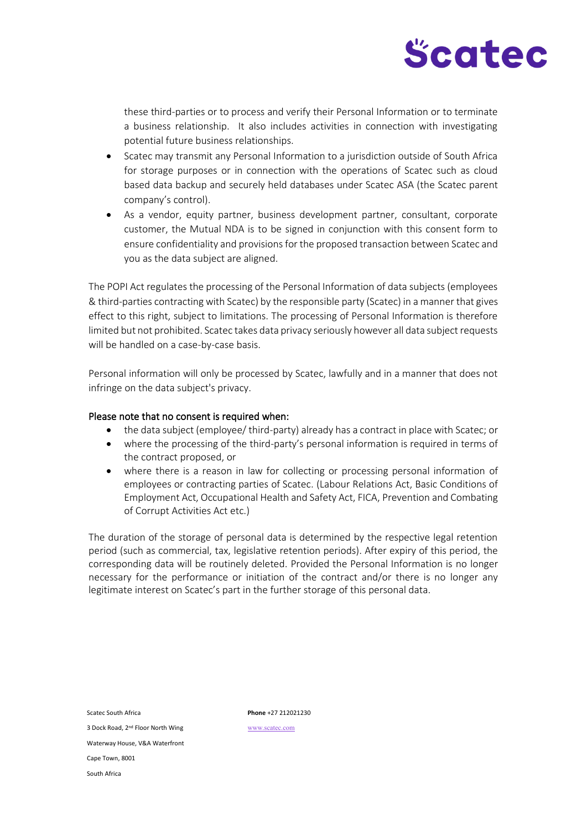

these third-parties or to process and verify their Personal Information or to terminate a business relationship. It also includes activities in connection with investigating potential future business relationships.

- Scatec may transmit any Personal Information to a jurisdiction outside of South Africa for storage purposes or in connection with the operations of Scatec such as cloud based data backup and securely held databases under Scatec ASA (the Scatec parent company's control).
- As a vendor, equity partner, business development partner, consultant, corporate customer, the Mutual NDA is to be signed in conjunction with this consent form to ensure confidentiality and provisions for the proposed transaction between Scatec and you as the data subject are aligned.

The POPI Act regulates the processing of the Personal Information of data subjects (employees & third-parties contracting with Scatec) by the responsible party (Scatec) in a manner that gives effect to this right, subject to limitations. The processing of Personal Information is therefore limited but not prohibited. Scatec takes data privacy seriously however all data subject requests will be handled on a case-by-case basis.

Personal information will only be processed by Scatec, lawfully and in a manner that does not infringe on the data subject's privacy.

#### Please note that no consent is required when:

- the data subject (employee/ third-party) already has a contract in place with Scatec; or
- where the processing of the third-party's personal information is required in terms of the contract proposed, or
- where there is a reason in law for collecting or processing personal information of employees or contracting parties of Scatec. (Labour Relations Act, Basic Conditions of Employment Act, Occupational Health and Safety Act, FICA, Prevention and Combating of Corrupt Activities Act etc.)

The duration of the storage of personal data is determined by the respective legal retention period (such as commercial, tax, legislative retention periods). After expiry of this period, the corresponding data will be routinely deleted. Provided the Personal Information is no longer necessary for the performance or initiation of the contract and/or there is no longer any legitimate interest on Scatec's part in the further storage of this personal data.

| Scatec South Africa                           |
|-----------------------------------------------|
| 3 Dock Road, 2 <sup>nd</sup> Floor North Wing |
| Waterway House, V&A Waterfront                |
| Cape Town, 8001                               |
| South Africa                                  |

Scatec South Africa **Phone** +27 212021230

[www.scatec.com](http://www.scatec.com/)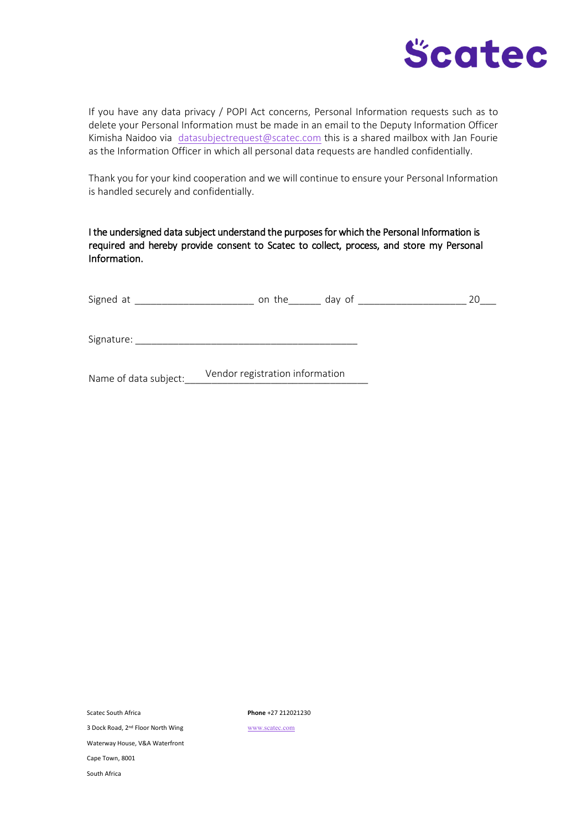

If you have any data privacy / POPI Act concerns, Personal Information requests such as to delete your Personal Information must be made in an email to the Deputy Information Officer Kimisha Naidoo via [datasubjectrequest@scatec.com](mailto:datasubjectrequest@scatec.com) this is a shared mailbox with Jan Fourie as the Information Officer in which all personal data requests are handled confidentially.

Thank you for your kind cooperation and we will continue to ensure your Personal Information is handled securely and confidentially.

I the undersigned data subject understand the purposes for which the Personal Information is required and hereby provide consent to Scatec to collect, process, and store my Personal Information.

| Signed at  | on the | day of |  |
|------------|--------|--------|--|
|            |        |        |  |
| Signature: |        |        |  |

Name of data subject: Vendor registration information

Scatec South Africa **Phone** +27 212021230

3 Dock Road, 2nd Floor North Wing

[www.scatec.com](http://www.scatec.com/)

Waterway House, V&A Waterfront

Cape Town, 8001

South Africa